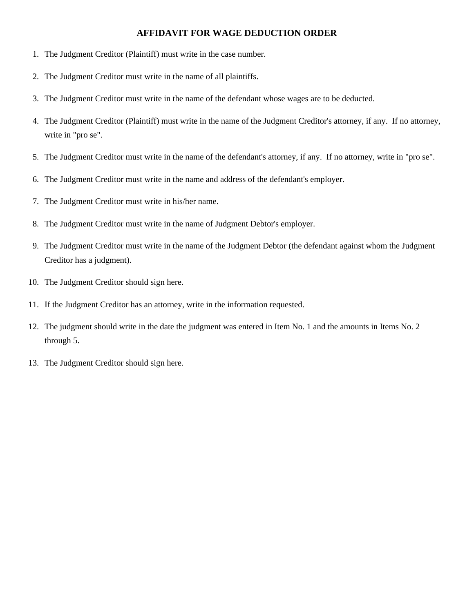## **AFFIDAVIT FOR WAGE DEDUCTION ORDER**

- 1. The Judgment Creditor (Plaintiff) must write in the case number.
- 2. The Judgment Creditor must write in the name of all plaintiffs.
- 3. The Judgment Creditor must write in the name of the defendant whose wages are to be deducted.
- 4. The Judgment Creditor (Plaintiff) must write in the name of the Judgment Creditor's attorney, if any. If no attorney, write in "pro se".
- 5. The Judgment Creditor must write in the name of the defendant's attorney, if any. If no attorney, write in "pro se".
- 6. The Judgment Creditor must write in the name and address of the defendant's employer.
- 7. The Judgment Creditor must write in his/her name.
- 8. The Judgment Creditor must write in the name of Judgment Debtor's employer.
- 9. The Judgment Creditor must write in the name of the Judgment Debtor (the defendant against whom the Judgment Creditor has a judgment).
- 10. The Judgment Creditor should sign here.
- 11. If the Judgment Creditor has an attorney, write in the information requested.
- 12. The judgment should write in the date the judgment was entered in Item No. 1 and the amounts in Items No. 2 through 5.
- 13. The Judgment Creditor should sign here.